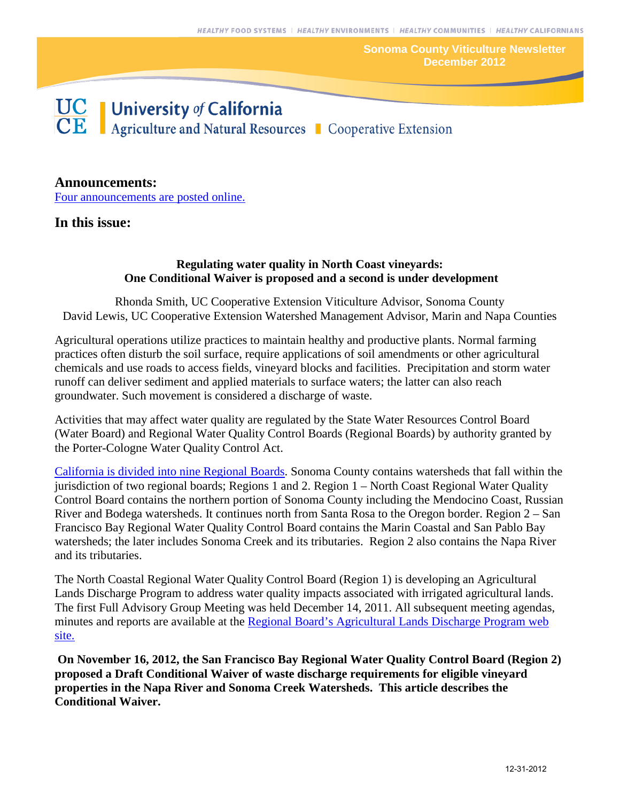**Sonoma County Viticulture Newsletter December 2012**



# **Announcements:**

[Four announcements are posted online.](http://cesonoma.ucanr.edu/viticulture717/Viticulture_Newsletter/January_2013_285/)

# **In this issue:**

#### **Regulating water quality in North Coast vineyards: One Conditional Waiver is proposed and a second is under development**

Rhonda Smith, UC Cooperative Extension Viticulture Advisor, Sonoma County David Lewis, UC Cooperative Extension Watershed Management Advisor, Marin and Napa Counties

Agricultural operations utilize practices to maintain healthy and productive plants. Normal farming practices often disturb the soil surface, require applications of soil amendments or other agricultural chemicals and use roads to access fields, vineyard blocks and facilities. Precipitation and storm water runoff can deliver sediment and applied materials to surface waters; the latter can also reach groundwater. Such movement is considered a discharge of waste.

Activities that may affect water quality are regulated by the State Water Resources Control Board (Water Board) and Regional Water Quality Control Boards (Regional Boards) by authority granted by the Porter-Cologne Water Quality Control Act.

[California is divided into nine Regional Boards.](http://www.waterboards.ca.gov/waterboards_map.shtml) Sonoma County contains watersheds that fall within the jurisdiction of two regional boards; Regions 1 and 2. Region 1 – North Coast Regional Water Quality Control Board contains the northern portion of Sonoma County including the Mendocino Coast, Russian River and Bodega watersheds. It continues north from Santa Rosa to the Oregon border. Region 2 – San Francisco Bay Regional Water Quality Control Board contains the Marin Coastal and San Pablo Bay watersheds; the later includes Sonoma Creek and its tributaries. Region 2 also contains the Napa River and its tributaries.

The North Coastal Regional Water Quality Control Board (Region 1) is developing an Agricultural Lands Discharge Program to address water quality impacts associated with irrigated agricultural lands. The first Full Advisory Group Meeting was held December 14, 2011. All subsequent meeting agendas, minutes and reports are available at the [Regional Board's Agricultural Lands Discharge](http://www.waterboards.ca.gov/northcoast/water_issues/programs/agricultural_lands/) Program web [site.](http://www.waterboards.ca.gov/northcoast/water_issues/programs/agricultural_lands/) 

**On November 16, 2012, the San Francisco Bay Regional Water Quality Control Board (Region 2) proposed a Draft Conditional Waiver of waste discharge requirements for eligible vineyard properties in the Napa River and Sonoma Creek Watersheds. This article describes the Conditional Waiver.**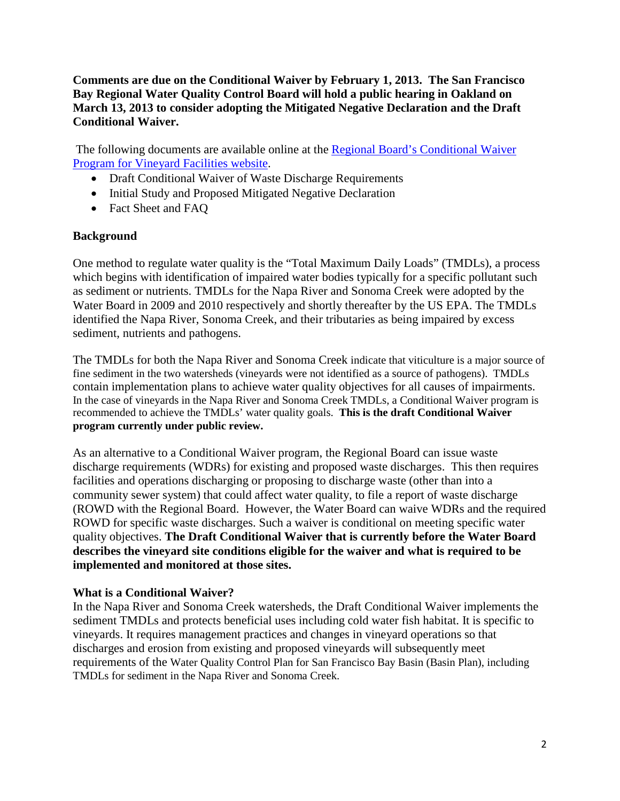**Comments are due on the Conditional Waiver by February 1, 2013. The San Francisco Bay Regional Water Quality Control Board will hold a public hearing in Oakland on March 13, 2013 to consider adopting the Mitigated Negative Declaration and the Draft Conditional Waiver.** 

 The following documents are available online at the [Regional Board's Conditional Waiver](http://www.waterboards.ca.gov/sanfranciscobay/water_issues/programs/TMDLs/vineyard/index.shtml)  Program [for Vineyard Facilities](http://www.waterboards.ca.gov/sanfranciscobay/water_issues/programs/TMDLs/vineyard/index.shtml) website.

- Draft Conditional Waiver of Waste Discharge Requirements
- Initial Study and Proposed Mitigated Negative Declaration
- Fact Sheet and FAO

# **Background**

One method to regulate water quality is the "Total Maximum Daily Loads" (TMDLs), a process which begins with identification of impaired water bodies typically for a specific pollutant such as sediment or nutrients. TMDLs for the Napa River and Sonoma Creek were adopted by the Water Board in 2009 and 2010 respectively and shortly thereafter by the US EPA. The TMDLs identified the Napa River, Sonoma Creek, and their tributaries as being impaired by excess sediment, nutrients and pathogens.

The TMDLs for both the Napa River and Sonoma Creek indicate that viticulture is a major source of fine sediment in the two watersheds (vineyards were not identified as a source of pathogens). TMDLs contain implementation plans to achieve water quality objectives for all causes of impairments. In the case of vineyards in the Napa River and Sonoma Creek TMDLs, a Conditional Waiver program is recommended to achieve the TMDLs' water quality goals. **This is the draft Conditional Waiver program currently under public review.**

As an alternative to a Conditional Waiver program, the Regional Board can issue waste discharge requirements (WDRs) for existing and proposed waste discharges. This then requires facilities and operations discharging or proposing to discharge waste (other than into a community sewer system) that could affect water quality, to file a report of waste discharge (ROWD with the Regional Board. However, the Water Board can waive WDRs and the required ROWD for specific waste discharges. Such a waiver is conditional on meeting specific water quality objectives. **The Draft Conditional Waiver that is currently before the Water Board describes the vineyard site conditions eligible for the waiver and what is required to be implemented and monitored at those sites.** 

# **What is a Conditional Waiver?**

In the Napa River and Sonoma Creek watersheds, the Draft Conditional Waiver implements the sediment TMDLs and protects beneficial uses including cold water fish habitat. It is specific to vineyards. It requires management practices and changes in vineyard operations so that discharges and erosion from existing and proposed vineyards will subsequently meet requirements of the Water Quality Control Plan for San Francisco Bay Basin (Basin Plan), including TMDLs for sediment in the Napa River and Sonoma Creek.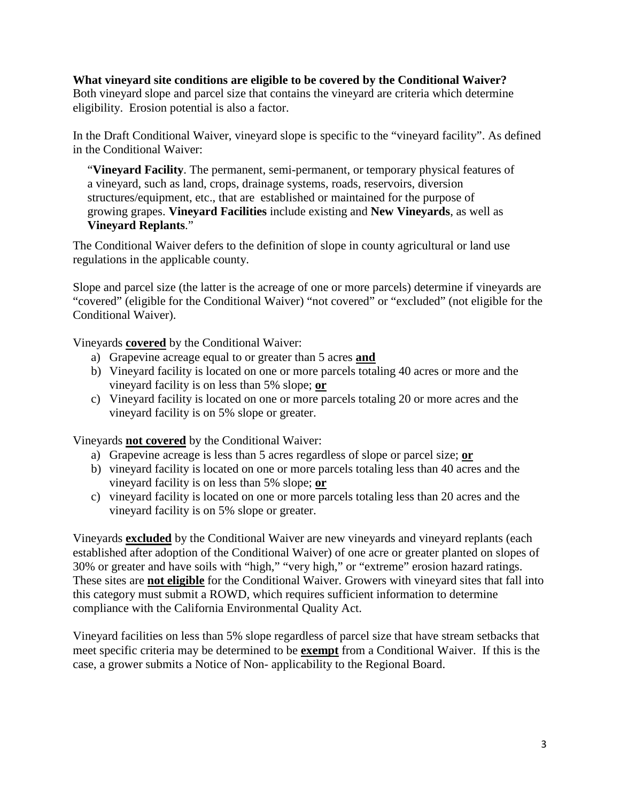### **What vineyard site conditions are eligible to be covered by the Conditional Waiver?**

Both vineyard slope and parcel size that contains the vineyard are criteria which determine eligibility. Erosion potential is also a factor.

In the Draft Conditional Waiver, vineyard slope is specific to the "vineyard facility". As defined in the Conditional Waiver:

"**Vineyard Facility**. The permanent, semi-permanent, or temporary physical features of a vineyard, such as land, crops, drainage systems, roads, reservoirs, diversion structures/equipment, etc., that are established or maintained for the purpose of growing grapes. **Vineyard Facilities** include existing and **New Vineyards**, as well as **Vineyard Replants**."

The Conditional Waiver defers to the definition of slope in county agricultural or land use regulations in the applicable county.

Slope and parcel size (the latter is the acreage of one or more parcels) determine if vineyards are "covered" (eligible for the Conditional Waiver) "not covered" or "excluded" (not eligible for the Conditional Waiver).

Vineyards **covered** by the Conditional Waiver:

- a) Grapevine acreage equal to or greater than 5 acres **and**
- b) Vineyard facility is located on one or more parcels totaling 40 acres or more and the vineyard facility is on less than 5% slope; **or**
- c) Vineyard facility is located on one or more parcels totaling 20 or more acres and the vineyard facility is on 5% slope or greater.

Vineyards **not covered** by the Conditional Waiver:

- a) Grapevine acreage is less than 5 acres regardless of slope or parcel size; **or**
- b) vineyard facility is located on one or more parcels totaling less than 40 acres and the vineyard facility is on less than 5% slope; **or**
- c) vineyard facility is located on one or more parcels totaling less than 20 acres and the vineyard facility is on 5% slope or greater.

Vineyards **excluded** by the Conditional Waiver are new vineyards and vineyard replants (each established after adoption of the Conditional Waiver) of one acre or greater planted on slopes of 30% or greater and have soils with "high," "very high," or "extreme" erosion hazard ratings. These sites are **not eligible** for the Conditional Waiver. Growers with vineyard sites that fall into this category must submit a ROWD, which requires sufficient information to determine compliance with the California Environmental Quality Act.

Vineyard facilities on less than 5% slope regardless of parcel size that have stream setbacks that meet specific criteria may be determined to be **exempt** from a Conditional Waiver. If this is the case, a grower submits a Notice of Non- applicability to the Regional Board.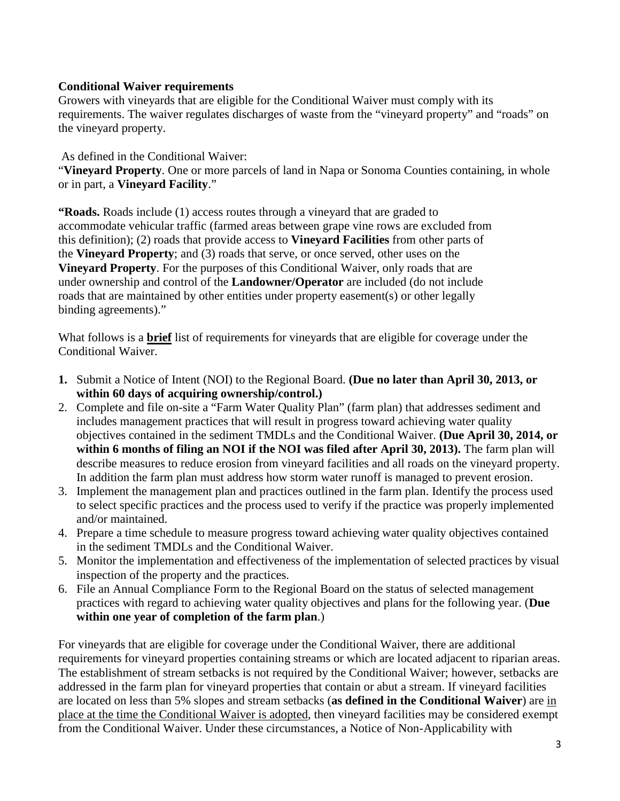## **Conditional Waiver requirements**

Growers with vineyards that are eligible for the Conditional Waiver must comply with its requirements. The waiver regulates discharges of waste from the "vineyard property" and "roads" on the vineyard property.

As defined in the Conditional Waiver:

"**Vineyard Property**. One or more parcels of land in Napa or Sonoma Counties containing, in whole or in part, a **Vineyard Facility**."

**"Roads.** Roads include (1) access routes through a vineyard that are graded to accommodate vehicular traffic (farmed areas between grape vine rows are excluded from this definition); (2) roads that provide access to **Vineyard Facilities** from other parts of the **Vineyard Property**; and (3) roads that serve, or once served, other uses on the **Vineyard Property**. For the purposes of this Conditional Waiver, only roads that are under ownership and control of the **Landowner/Operator** are included (do not include roads that are maintained by other entities under property easement(s) or other legally binding agreements)."

What follows is a **brief** list of requirements for vineyards that are eligible for coverage under the Conditional Waiver.

- **1.** Submit a Notice of Intent (NOI) to the Regional Board. **(Due no later than April 30, 2013, or within 60 days of acquiring ownership/control.)**
- 2. Complete and file on-site a "Farm Water Quality Plan" (farm plan) that addresses sediment and includes management practices that will result in progress toward achieving water quality objectives contained in the sediment TMDLs and the Conditional Waiver. **(Due April 30, 2014, or within 6 months of filing an NOI if the NOI was filed after April 30, 2013).** The farm plan will describe measures to reduce erosion from vineyard facilities and all roads on the vineyard property. In addition the farm plan must address how storm water runoff is managed to prevent erosion.
- 3. Implement the management plan and practices outlined in the farm plan. Identify the process used to select specific practices and the process used to verify if the practice was properly implemented and/or maintained.
- 4. Prepare a time schedule to measure progress toward achieving water quality objectives contained in the sediment TMDLs and the Conditional Waiver.
- 5. Monitor the implementation and effectiveness of the implementation of selected practices by visual inspection of the property and the practices.
- 6. File an Annual Compliance Form to the Regional Board on the status of selected management practices with regard to achieving water quality objectives and plans for the following year. (**Due within one year of completion of the farm plan**.)

For vineyards that are eligible for coverage under the Conditional Waiver, there are additional requirements for vineyard properties containing streams or which are located adjacent to riparian areas. The establishment of stream setbacks is not required by the Conditional Waiver; however, setbacks are addressed in the farm plan for vineyard properties that contain or abut a stream. If vineyard facilities are located on less than 5% slopes and stream setbacks (**as defined in the Conditional Waiver**) are in place at the time the Conditional Waiver is adopted, then vineyard facilities may be considered exempt from the Conditional Waiver. Under these circumstances, a Notice of Non-Applicability with